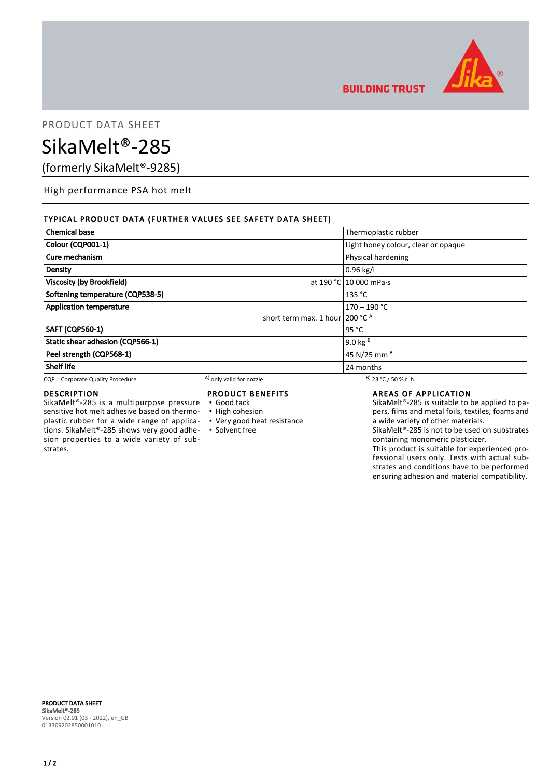

**BUILDING TRUST** 

# PRODUCT DATA SHEET

# SikaMelt®-285

(formerly SikaMelt®-9285)

High performance PSA hot melt

## TYPICAL PRODUCT DATA (FURTHER VALUES SEE SAFETY DATA SHEET)

| <b>Chemical base</b>              |                                   | Thermoplastic rubber                |
|-----------------------------------|-----------------------------------|-------------------------------------|
| Colour (CQP001-1)                 |                                   | Light honey colour, clear or opaque |
| Cure mechanism                    |                                   | Physical hardening                  |
| Density                           |                                   | $0.96$ kg/l                         |
| Viscosity (by Brookfield)         |                                   | at 190 °C 10 000 mPa·s              |
| Softening temperature (CQP538-5)  |                                   | 135 °C                              |
| <b>Application temperature</b>    |                                   | $170 - 190$ °C                      |
|                                   | short term max. 1 hour   200 °C A |                                     |
| <b>SAFT (CQP560-1)</b>            |                                   | 95 °C                               |
| Static shear adhesion (CQP566-1)  |                                   | 9.0 kg $B$                          |
| Peel strength (CQP568-1)          |                                   | 45 N/25 mm <sup>B</sup>             |
| <b>Shelf life</b>                 |                                   | 24 months                           |
| CQP = Corporate Quality Procedure | A) only valid for nozzle          | $B)$ 23 °C / 50 % r. h.             |

## DESCRIPTION

SikaMelt®-285 is a multipurpose pressure sensitive hot melt adhesive based on thermoplastic rubber for a wide range of applications. SikaMelt®-285 shows very good adhesion properties to a wide variety of substrates.

## PRODUCT BENEFITS

- Good tack
- **· High cohesion**
- Very good heat resistance
- **Solvent free**

#### AREAS OF APPLICATION

SikaMelt®-285 is suitable to be applied to papers, films and metal foils, textiles, foams and a wide variety of other materials.

SikaMelt®-285 is not to be used on substrates containing monomeric plasticizer.

This product is suitable for experienced professional users only. Tests with actual substrates and conditions have to be performed ensuring adhesion and material compatibility.